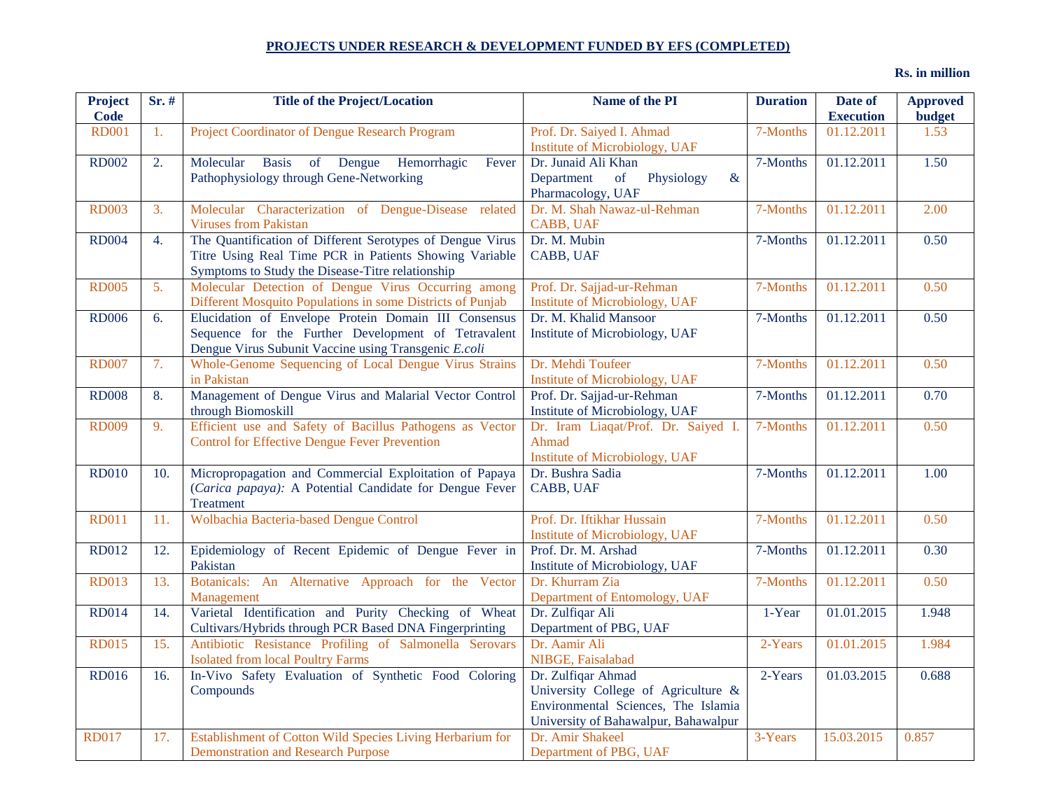## **PROJECTS UNDER RESEARCH & DEVELOPMENT FUNDED BY EFS (COMPLETED)**

**Rs. in million**

| <b>Project</b><br>Code | $Sr.$ # | <b>Title of the Project/Location</b>                                                                                                                                    | Name of the PI                                                                                                                           | <b>Duration</b> | Date of<br><b>Execution</b> | <b>Approved</b><br><b>budget</b> |
|------------------------|---------|-------------------------------------------------------------------------------------------------------------------------------------------------------------------------|------------------------------------------------------------------------------------------------------------------------------------------|-----------------|-----------------------------|----------------------------------|
| <b>RD001</b>           | 1.      | Project Coordinator of Dengue Research Program                                                                                                                          | Prof. Dr. Saiyed I. Ahmad<br>Institute of Microbiology, UAF                                                                              | 7-Months        | 01.12.2011                  | 1.53                             |
| <b>RD002</b>           | 2.      | <b>Basis</b><br>of Dengue<br>Hemorrhagic<br>Molecular<br>Fever<br>Pathophysiology through Gene-Networking                                                               | Dr. Junaid Ali Khan<br>$\&$<br>Department<br>of<br>Physiology<br>Pharmacology, UAF                                                       | 7-Months        | 01.12.2011                  | 1.50                             |
| <b>RD003</b>           | 3.      | Molecular Characterization of Dengue-Disease related<br><b>Viruses from Pakistan</b>                                                                                    | Dr. M. Shah Nawaz-ul-Rehman<br>CABB, UAF                                                                                                 | 7-Months        | 01.12.2011                  | 2.00                             |
| <b>RD004</b>           | 4.      | The Quantification of Different Serotypes of Dengue Virus<br>Titre Using Real Time PCR in Patients Showing Variable<br>Symptoms to Study the Disease-Titre relationship | Dr. M. Mubin<br>CABB, UAF                                                                                                                | 7-Months        | 01.12.2011                  | 0.50                             |
| <b>RD005</b>           | 5.      | Molecular Detection of Dengue Virus Occurring among<br>Different Mosquito Populations in some Districts of Punjab                                                       | Prof. Dr. Sajjad-ur-Rehman<br>Institute of Microbiology, UAF                                                                             | 7-Months        | 01.12.2011                  | 0.50                             |
| <b>RD006</b>           | 6.      | Elucidation of Envelope Protein Domain III Consensus<br>Sequence for the Further Development of Tetravalent<br>Dengue Virus Subunit Vaccine using Transgenic E.coli     | Dr. M. Khalid Mansoor<br>Institute of Microbiology, UAF                                                                                  | 7-Months        | 01.12.2011                  | 0.50                             |
| <b>RD007</b>           | 7.      | Whole-Genome Sequencing of Local Dengue Virus Strains<br>in Pakistan                                                                                                    | Dr. Mehdi Toufeer<br>Institute of Microbiology, UAF                                                                                      | 7-Months        | 01.12.2011                  | 0.50                             |
| <b>RD008</b>           | 8.      | Management of Dengue Virus and Malarial Vector Control<br>through Biomoskill                                                                                            | Prof. Dr. Sajjad-ur-Rehman<br>Institute of Microbiology, UAF                                                                             | 7-Months        | 01.12.2011                  | 0.70                             |
| <b>RD009</b>           | 9.      | Efficient use and Safety of Bacillus Pathogens as Vector<br><b>Control for Effective Dengue Fever Prevention</b>                                                        | Dr. Iram Liaqat/Prof. Dr. Saiyed I.<br>Ahmad<br>Institute of Microbiology, UAF                                                           | 7-Months        | 01.12.2011                  | 0.50                             |
| <b>RD010</b>           | 10.     | Micropropagation and Commercial Exploitation of Papaya<br>(Carica papaya): A Potential Candidate for Dengue Fever<br>Treatment                                          | Dr. Bushra Sadia<br>CABB, UAF                                                                                                            | 7-Months        | 01.12.2011                  | 1.00                             |
| <b>RD011</b>           | 11.     | Wolbachia Bacteria-based Dengue Control                                                                                                                                 | Prof. Dr. Iftikhar Hussain<br>Institute of Microbiology, UAF                                                                             | 7-Months        | 01.12.2011                  | 0.50                             |
| <b>RD012</b>           | 12.     | Epidemiology of Recent Epidemic of Dengue Fever in<br>Pakistan                                                                                                          | Prof. Dr. M. Arshad<br>Institute of Microbiology, UAF                                                                                    | 7-Months        | 01.12.2011                  | 0.30                             |
| <b>RD013</b>           | 13.     | Botanicals: An Alternative Approach for the Vector<br>Management                                                                                                        | Dr. Khurram Zia<br>Department of Entomology, UAF                                                                                         | 7-Months        | 01.12.2011                  | 0.50                             |
| <b>RD014</b>           | 14.     | Varietal Identification and Purity Checking of Wheat<br>Cultivars/Hybrids through PCR Based DNA Fingerprinting                                                          | Dr. Zulfiqar Ali<br>Department of PBG, UAF                                                                                               | 1-Year          | 01.01.2015                  | 1.948                            |
| <b>RD015</b>           | 15.     | Antibiotic Resistance Profiling of Salmonella Serovars<br><b>Isolated from local Poultry Farms</b>                                                                      | Dr. Aamir Ali<br>NIBGE, Faisalabad                                                                                                       | 2-Years         | 01.01.2015                  | 1.984                            |
| <b>RD016</b>           | 16.     | In-Vivo Safety Evaluation of Synthetic Food Coloring<br>Compounds                                                                                                       | Dr. Zulfiqar Ahmad<br>University College of Agriculture &<br>Environmental Sciences, The Islamia<br>University of Bahawalpur, Bahawalpur | 2-Years         | 01.03.2015                  | 0.688                            |
| <b>RD017</b>           | 17.     | Establishment of Cotton Wild Species Living Herbarium for<br><b>Demonstration and Research Purpose</b>                                                                  | Dr. Amir Shakeel<br>Department of PBG, UAF                                                                                               | 3-Years         | 15.03.2015                  | 0.857                            |